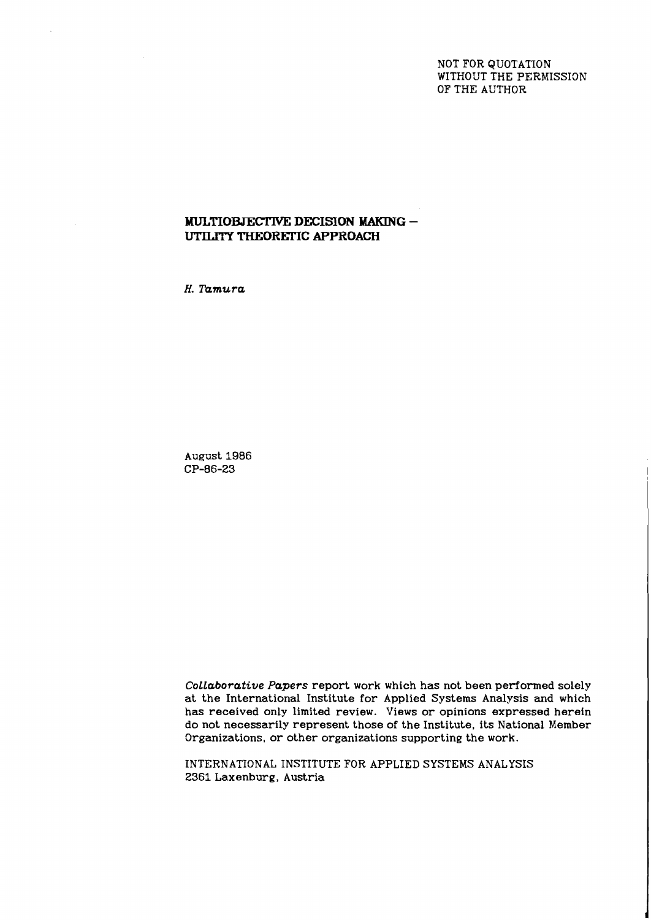NOT FOR QUOTATION WITHOUT THE PERMISSION OF THE AUTHOR

## **MULTIOBJECTIVE DECISION MAKING -UTILITY THEORETIC APPROACH**

*H. Tamura* 

August 1986 CP-86-23

*CoLLaborative Papers* report work which has not been performed solely at the International Institute for Applied Systems Analysis and which has received only limited review. Views or opinions expressed herein do not necessarily represent those of the Institute, its National Member Organizations, or other organizations supporting the work.

INTERNATIONAL INSTITUTE FOR APPLIED SYSTEMS ANALYSIS 2361 Laxenburg, Austria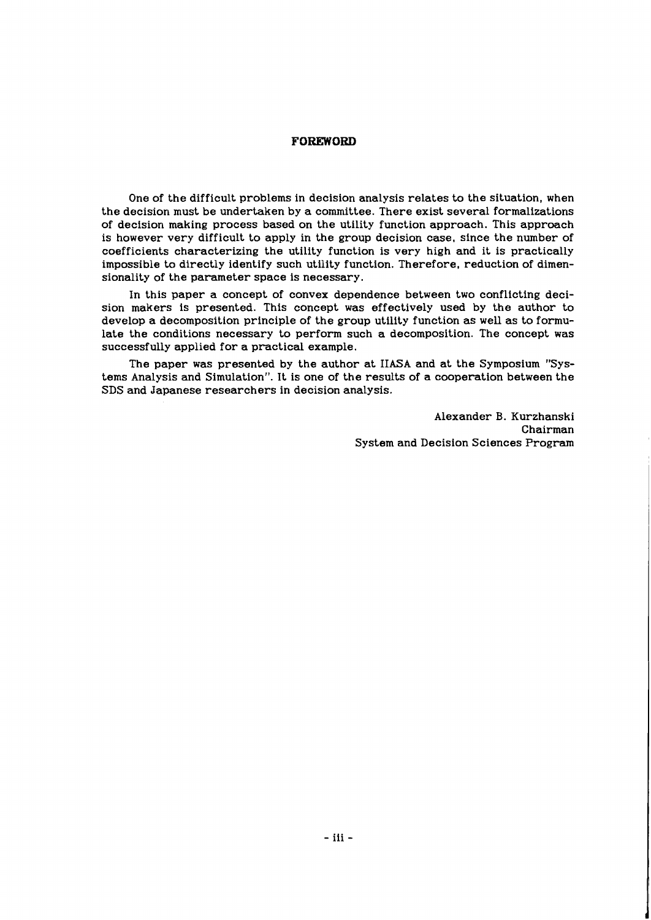#### **FOREWORD**

One of the difficult problems in decision analysis relates to the situation, when the decision must be undertaken by a committee. There exist several formalizations of decision making process based on the utility function approach. This approach is however very difficult to apply in the group decision case, since the number of coefficients characterizing the utility function is very high and it is practically impossible to directly identify such utility function. Therefore, reduction of dimensionality of the parameter space is necessary.

In this paper a concept of convex dependence between two conflicting decision makers is presented. This concept was effectively used by the author to develop a decomposition principle of the group utility function as well as to formulate the conditions necessary to perform such a decomposition. The concept was successfully applied for a practical example.

The paper was presented by the author at IIASA and at the Symposium "Systems Analysis and Simulation". It is one of the results of a cooperation between the SDS and Japanese researchers in decision analysis.

> Alexander B. Kurzhanski Chairman System and Decision Sciences Program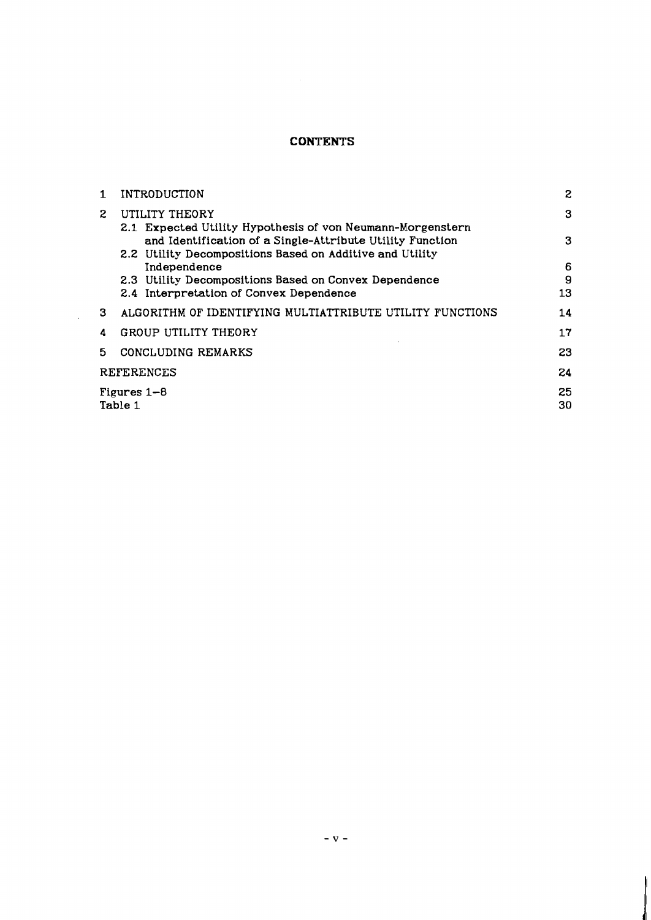# **CONTENTS**

| 1.                | INTRODUCTION                                                                                                                                                                        | 2  |  |
|-------------------|-------------------------------------------------------------------------------------------------------------------------------------------------------------------------------------|----|--|
| 2.                | UTILITY THEORY                                                                                                                                                                      | 3  |  |
|                   | 2.1 Expected Utility Hypothesis of von Neumann-Morgenstern<br>and Identification of a Single-Attribute Utility Function<br>2.2 Utility Decompositions Based on Additive and Utility | 3  |  |
|                   | Independence                                                                                                                                                                        | 6  |  |
|                   | 2.3 Utility Decompositions Based on Convex Dependence                                                                                                                               | 9  |  |
|                   | 2.4 Interpretation of Convex Dependence                                                                                                                                             | 13 |  |
| З.                | ALGORITHM OF IDENTIFYING MULTIATTRIBUTE UTILITY FUNCTIONS                                                                                                                           | 14 |  |
| 4                 | <b>GROUP UTILITY THEORY</b>                                                                                                                                                         | 17 |  |
| 5.                | CONCLUDING REMARKS                                                                                                                                                                  | 23 |  |
| <b>REFERENCES</b> |                                                                                                                                                                                     | 24 |  |
| Figures $1-8$     |                                                                                                                                                                                     |    |  |
| Table 1<br>30     |                                                                                                                                                                                     |    |  |
|                   |                                                                                                                                                                                     |    |  |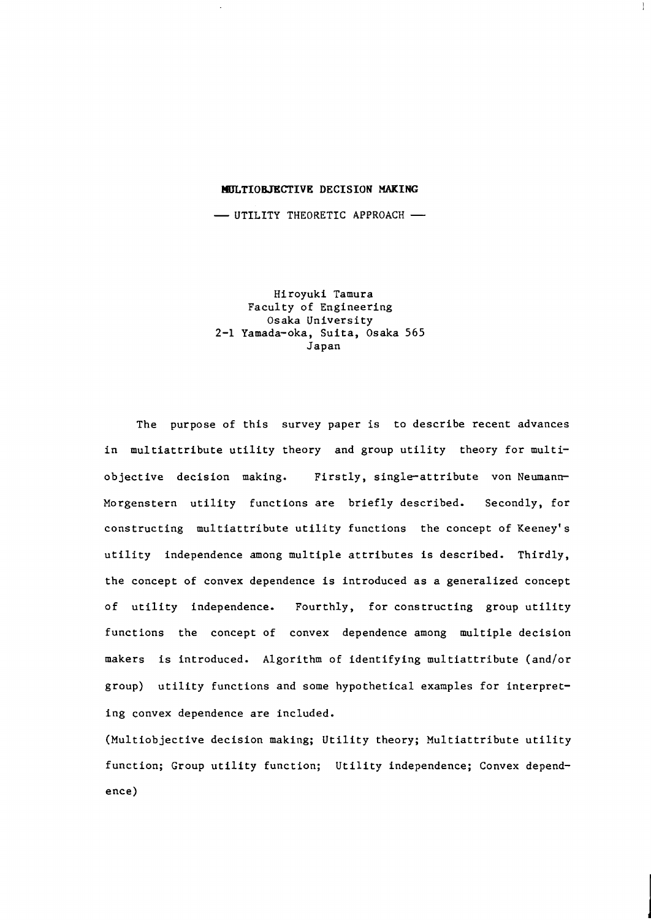## **l4ULTIOBJECTIVE DECISION MAKING**

 $\mathbf{I}$ 

MULTIOBJECTIVE DECISION MAKING<br>- UTILITY THEORETIC APPROACH

Hiroyuki Tamura Faculty of Engineering Osaka University 2-1 Yamada-oka, Suita, Osaka 565 Japan

The purpose of this survey paper is to describe recent advances in multiattribute utility theory and group utility theory for multiobjective decision making. Firstly, single-attribute von Neumann-Morgenstern utility functions are briefly described. Secondly, for constructing multiattribute utility functions the concept of Keeney's utility independence among multiple attributes is described. Thirdly, the concept of convex dependence is introduced as a generalized concept of utility independence. Fourthly, for constructing group utility functions the concept of convex dependence among multiple decision makers is introduced. Algorithm of identifying multiattribute (and/or group) utility functions and some hypothetical examples for interpreting convex dependence are included.

(Multiobjective decision making; Utility theory; Multiattribute utility function; Group utility function; Utility independence; Convex dependence)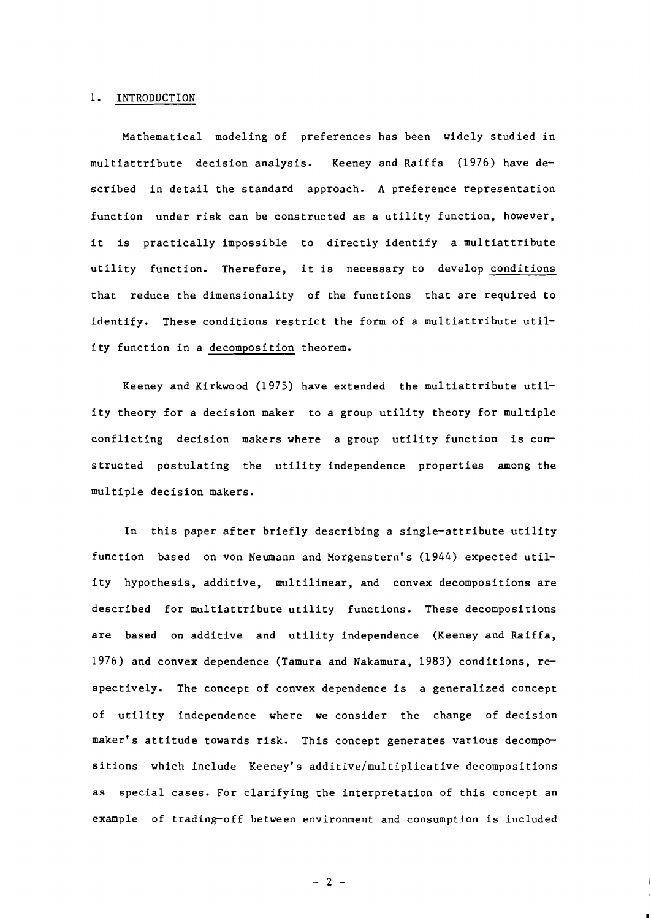#### **1.** INTRODUCTION

Mathematical modeling of preferences has been widely studied in multiattribute decision analysis. Keeney and Raiffa (1976) have described in detail the standard approach. A preference representation function under risk can be constructed as a utility function, however, it is practically impossible to directly identify a multiattribute utility function. Therefore, it is necessary to develop conditions that reduce the dimensionality of the functions that are required to identify. These conditions restrict the form of a multiattribute utility function in a decomposition theorem.

Keeney and Kirkwood (1975) have extended the multiattribute utility theory for a decision maker to a group utility theory for multiple conflicting decision makers where a group utility function is constructed postulating the utility independence properties among the multiple decision makers.

In this paper after briefly describing a single-attribute utility function based on von Neumann and Morgenstern's (1944) expected utility hypothesis, additive, multilinear, and convex decompositions are described for multiattribute utility functions. These decompositions are based on additive and utility independence (Keeney and Raiffa, 1976) and convex dependence (Tamura and Nakamura, 1983) conditions, respectively. The concept of convex dependence is a generalized concept of utility independence where we consider the change of decision maker's attitude towards risk. This concept generates various decompositions which include Keeney's additive/multiplicative decompositions as special cases. For clarifying the interpretation of this concept an example of trading-off between environment and consumption is included

 $-2-$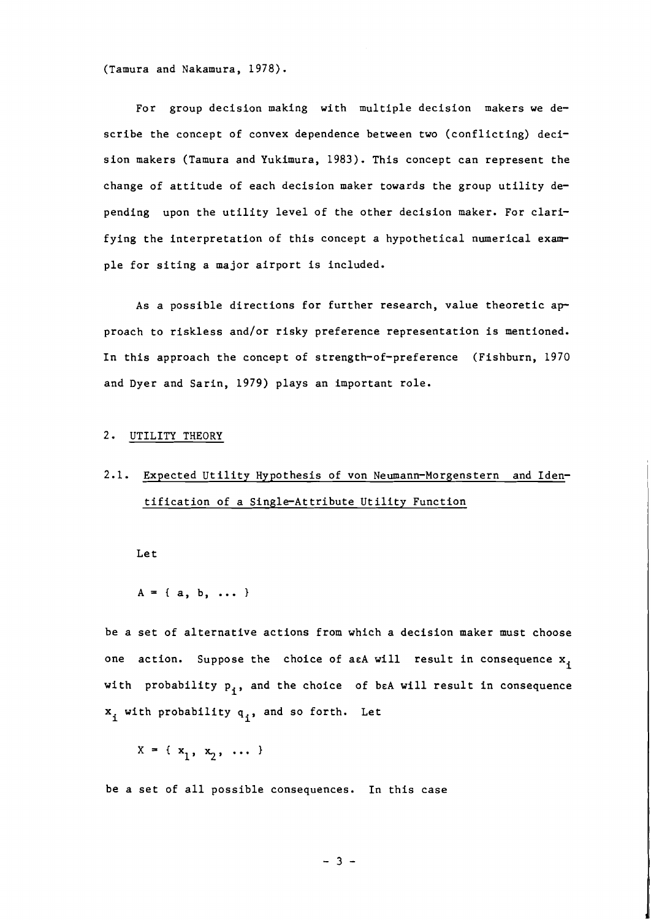(Tamura and Nakamura, 1978).

For group decision making with multiple decision makers we describe the concept of convex dependence between two (conflicting) decision makers (Tamura and Yukimura, 1983). This concept can represent the change of attitude of each decision maker towards the group utility depending upon the utility level of the other decision maker. For clarifying the interpretation of this concept a hypothetical numerical example for siting a major airport is included.

As a possible directions for further research, value theoretic approach to riskless and/or risky preference representation is mentioned. In this approach the concept of strength-of-preference (Fishburn, 1970 and Dyer and Sarin, 1979) plays an important role.

#### 2. UTILITY THEORY

# 2.1. Expected Utility Hypothesis of von Neumann-Morgenstern and Identification of a Single-Attribute Utility Function

Let

```
A = \{ a, b, ... \}
```
be a set of alternative actions from which a decision maker must choose one action. Suppose the choice of aeA will result in consequence  $x_1$ with probability  $p_i$ , and the choice of beA will result in consequence  $x_i$  with probability  $q_i$ , and so forth. Let

 $X = \{ x_1, x_2, \ldots \}$ 

be a set of all possible consequences. In this case

 $-3 -$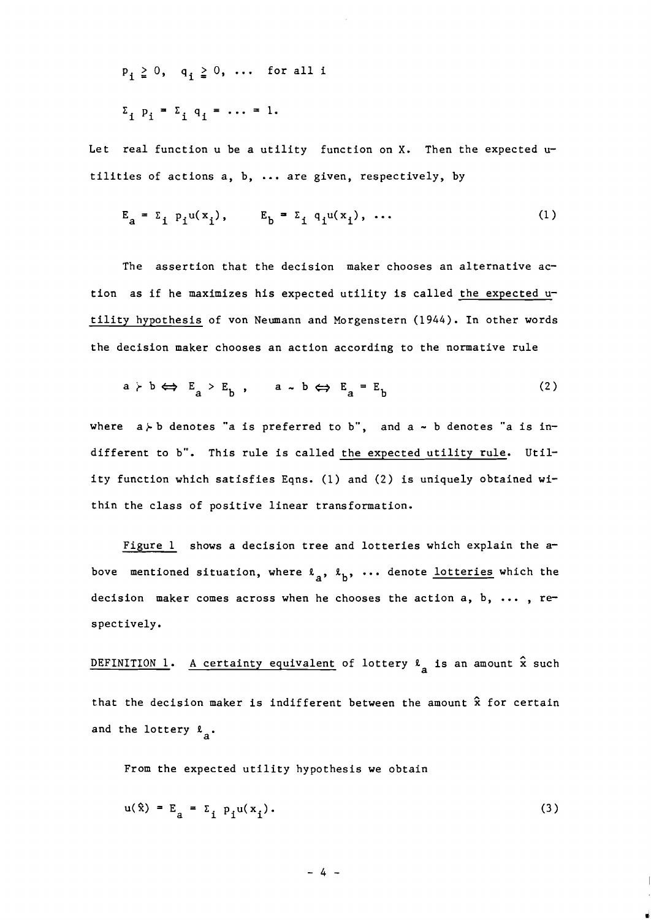$P_i \geq 0$ ,  $q_i \geq 0$ , ... for all i  $\Sigma_i$   $p_i = \Sigma_i$   $q_i = \ldots = 1$ .

Let real function  $u$  be a utility function on X. Then the expected  $u$ tilities of actions a, b, ... are given, respectively, by

$$
E_{a} = \Sigma_{i} p_{i} u(x_{i}), \qquad E_{b} = \Sigma_{i} q_{i} u(x_{i}), \dots \qquad (1)
$$

The assertion that the decision maker chooses an alternative action as if he maximizes his expected utility is called the expected utility hypothesis of von Neumann and Morgenstern (1944). In other words the decision maker chooses an action according to the normative rule

$$
a \succ b \iff E_a \succ E_b , \qquad a \sim b \iff E_a = E_b
$$
 (2)

where  $a \nmid b$  denotes "a is preferred to b", and  $a \sim b$  denotes "a is indifferent to b". This rule is called the expected utility rule. Utility function which satisfies Eqns. (1) and (2) is uniquely obtained within the class of positive linear transformation.

Figure 1 shows a decision tree and lotteries which explain the above mentioned situation, where  $\ell_a$ ,  $\ell_b$ , ... denote lotteries which the decision maker comes across when he chooses the action a, b, ... , respectively.

D<u>EFINITION 1</u>. <u>A certainty equivalent</u> of lottery  $\mu_{\mathbf{a}}$  is an amount  $\hat{\mathbf{x}}$  such that the decision maker is indifferent between the amount **2** for certain and the lottery  $\ell_a$ .

From the expected utility hypothesis we obtain

$$
u(\hat{x}) = E_{a} = \sum_{i} p_i u(x_i). \tag{3}
$$

 $-4-$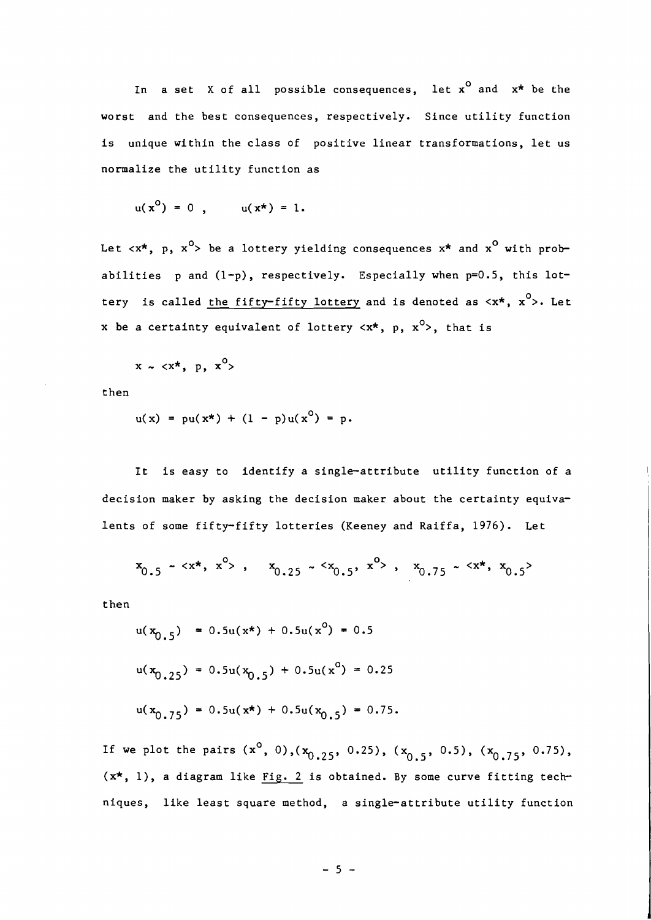In a set X of all possible consequences, let  $x^0$  and  $x^*$  be the worst and the best consequences, respectively. Since utility function is unique within the class of positive linear transformations, let us normalize the utility function as

$$
u(x0) = 0 , \qquad u(x*) = 1.
$$

Let  $\langle x^*, p, x^0 \rangle$  be a lottery yielding consequences  $x^*$  and  $x^0$  with probabilities  $p$  and  $(1-p)$ , respectively. Especially when  $p=0.5$ , this lottery is called <u>the fifty-fifty lottery</u> and is denoted as <<mark>x\*, x<sup>o</sup>>. L</mark>et x be a certainty equivalent of lottery  $\langle x^*, p, x^0 \rangle$ , that is

 $x \sim \langle x^{\star}, p, x^0 \rangle$ 

then

$$
u(x) = pu(x*) + (1 - p)u(xo) = p.
$$

It is easy to identify a single-attribute utility function of a decision maker by asking the decision maker about the certainty equivalents of some fifty-fifty lotteries (Keeney and Raiffa, 1976). Let

$$
x_{0.5} - \langle x^*, x^0 \rangle
$$
,  $x_{0.25} - \langle x_{0.5}, x^0 \rangle$ ,  $x_{0.75} - \langle x^*, x_{0.5} \rangle$ 

then

 $u(x_{0.5})$  = 0.5u(x<sup>\*</sup>) + 0.5u(x<sup>o</sup>) = 0.5  $u(x_{0.25}) = 0.5u(x_{0.5}) + 0.5u(x^{0}) = 0.25$  $u(x_{0.75}) = 0.5u(x<sup>*</sup>) + 0.5u(x_{0.5}) = 0.75.$ 

If we plot the pairs  $(x^0, 0)$ ,  $(x_{0.25}, 0.25)$ ,  $(x_{0.5}, 0.5)$ ,  $(x_{0.75}, 0.75)$ ,  $(x*, 1)$ , a diagram like Fig. 2 is obtained. By some curve fitting techniques, like least square method, a single-attribute utility function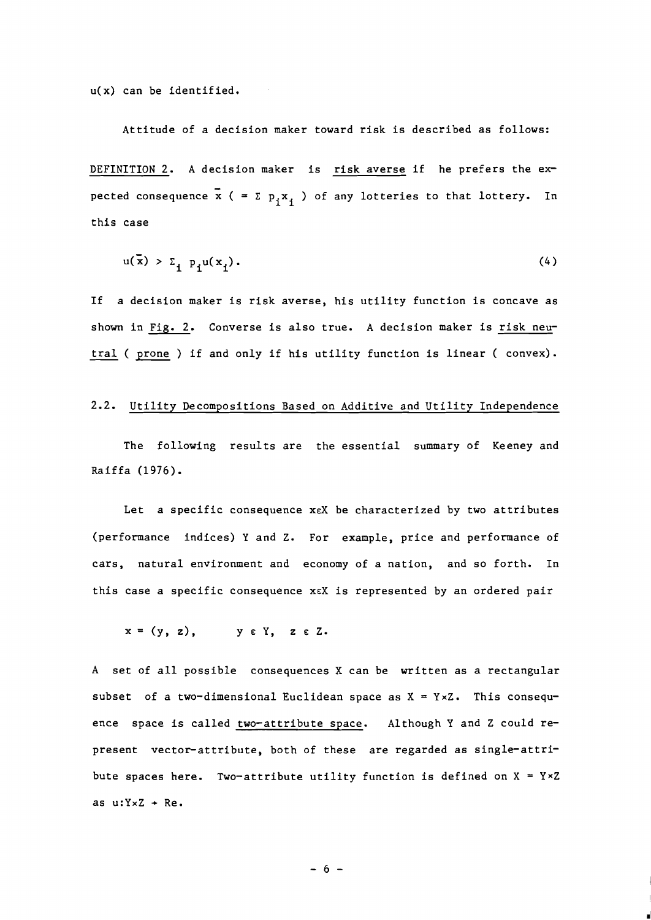u(x) can be identified.

Attitude of a decision maker toward risk is described as follows: DEFINITION **2.** A decision maker is risk averse if he prefers the ex- pected consequence  $\bar{x}$  ( =  $\Sigma$   $p_i x_i$  ) of any lotteries to that lottery. In this case

$$
u(\bar{x}) > \Sigma_{j} p_j u(x_j). \tag{4}
$$

If a decision maker is risk averse, his utility function is concave as shown in Fig. **2.** Converse is also true. A decision maker is risk neutral ( prone ) if and only if his utility function is linear ( convex).

#### **2.2.** Utility Decompositions Based on Additive and Utility Independence

The following results are the essential summary of Keeney and Raiffa (1976).

Let a specific consequence xeX be characterized by two attributes (performance indices) Y and Z. For example, price and performance of cars, natural environment and economy of a nation, and so forth. In this case a specific consequence **XEX** is represented by an ordered pair

$$
x = (y, z), \qquad y \in Y, \quad z \in Z.
$$

A set of all possible consequences X can be written as a rectangular subset of a two-dimensional Euclidean space as  $X = Y \times Z$ . This consequence space is called two-attribute space. Although Y and Z could represent vector-attribute, both of these are regarded as single-attribute spaces here. Two-attribute utility function is defined on  $X = Y \times Z$ as  $u:Y\times Z + Re.$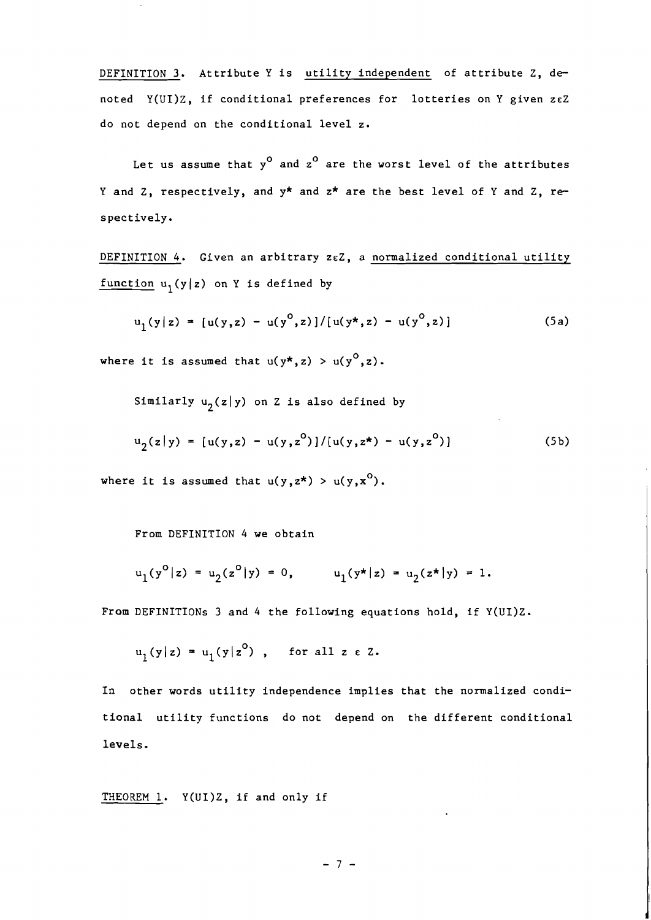DEFINITION **3.** Attribute Y is utility independent of attribute Z, denoted Y(UI)Z, if conditional preferences for lotteries on Y given zcZ do not depend on the conditional level z.

Let us assume that  $y^0$  and  $z^0$  are the worst level of the attributes Y and Z, respectively, and y\* and z\* are the best level of Y and Z, respect ively .

DEFINITION 4. Given an arbitrary zeZ, a normalized conditional utility function  $u_1(y|z)$  on Y is defined by

$$
u_1(y|z) = [u(y,z) - u(y^0,z)]/[u(y^*,z) - u(y^0,z)]
$$
 (5a)

where it is assumed that  $u(y^*, z) > u(y^0, z)$ .

Similarly  $u_2(z|y)$  on Z is also defined by

$$
u_2(z|y) = [u(y,z) - u(y,z^0)]/[u(y,z^*) - u(y,z^0)]
$$
 (5b)

where it is assumed that  $u(y, z^*) > u(y, x^0)$ .

From DEFINITION *4* we obtain

$$
u_1(y^0|z) = u_2(z^0|y) = 0,
$$
  $u_1(y^*|z) = u_2(z^*|y) = 1.$ 

From DEFINITIONS **3** and 4 the following equations hold, if Y(U1)Z.

$$
u_1(y|z) = u_1(y|z^0)
$$
, for all  $z \in Z$ .

In other words utility independence implies that the normalized conditional utility functions do not depend on the different conditional levels.

THEOREM 1. Y(UI)Z, if and only if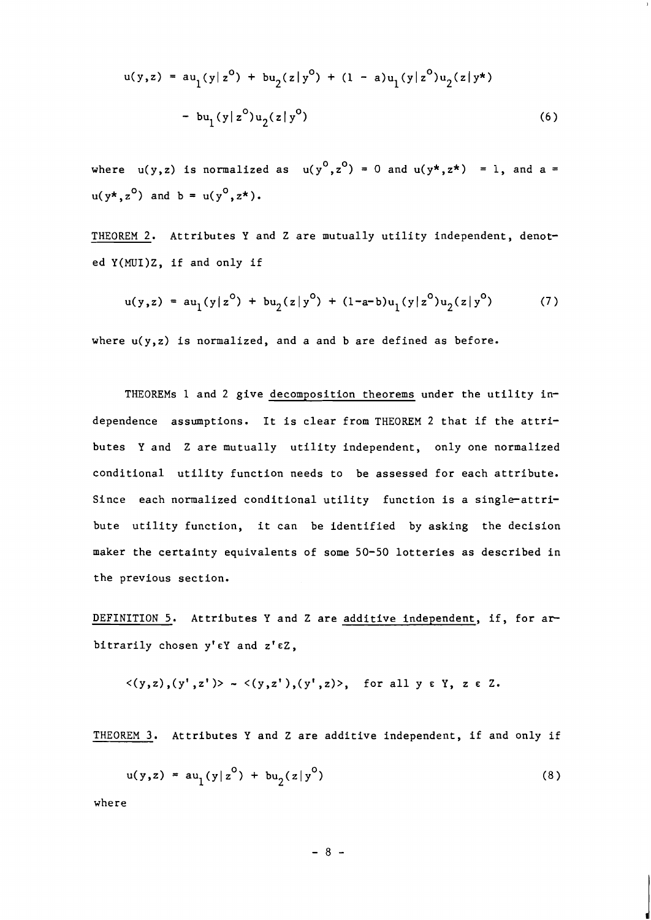$$
u(y,z) = au_1(y|z^0) + bu_2(z|y^0) + (1 - a)u_1(y|z^0)u_2(z|y^*)
$$
  
- bu<sub>1</sub>(y|z<sup>0</sup>)u<sub>2</sub>(z|y<sup>0</sup>) (6)

where  $u(y,z)$  is normalized as  $u(y^0,z^0) = 0$  and  $u(y^*,z^*) = 1$ , and a =  $u(y^*, z^0)$  and  $b = u(y^0, z^*)$ .

THEOREM 2. Attributes Y and Z are mutually utility independent, denoted Y(MUI)Z, if and only if

$$
u(y,z) = au_1(y|z^0) + bu_2(z|y^0) + (1-a-b)u_1(y|z^0)u_2(z|y^0)
$$
 (7)

where  $u(y, z)$  is normalized, and a and b are defined as before.

THEOREMS 1 and 2 give decomposition theorems under the utility independence assumptions. It is clear from THEOREM 2 that if the attributes Y and Z are mutually utility independent, only one normalized conditional utility function needs to be assessed for each attribute. Since each normalized conditional utility function is a single-attribute utility function, it can be identified by asking the decision maker the certainty equivalents of some 50-50 lotteries as described in the previous section.

DEFINITION 5. Attributes Y and Z are additive independent, if, for arbitrarily chosen  $y' \in Y$  and  $z' \in Z$ ,

$$
\langle (y,z), (y',z') \rangle \sim \langle (y,z'), (y',z) \rangle
$$
, for all  $y \in Y$ ,  $z \in Z$ .

THEOREM **3.** Attributes Y and Z are additive independent, if and only if

$$
u(y, z) = au_1(y|z^0) + bu_2(z|y^0)
$$
 (8)

where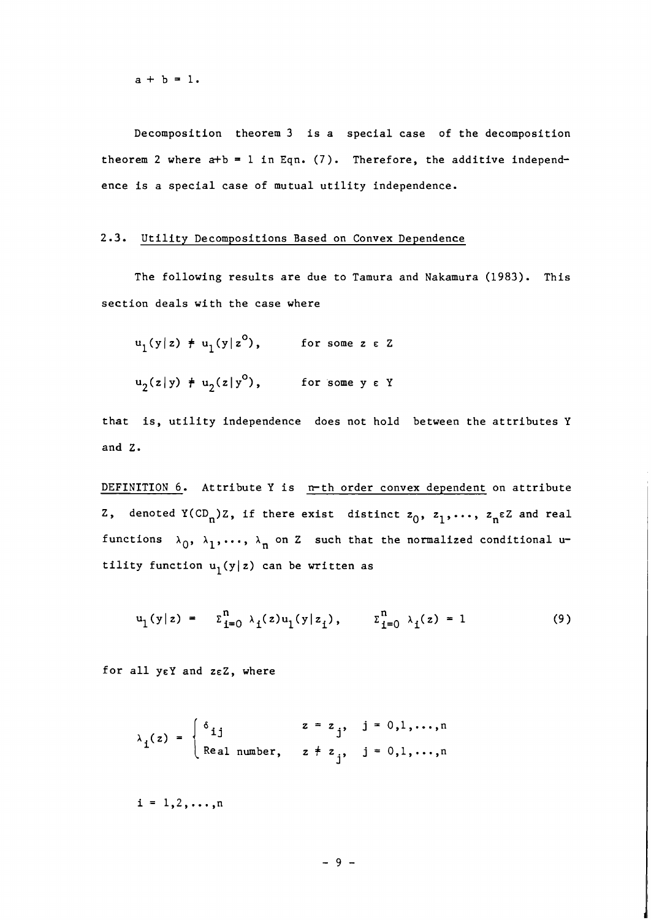$a + b = 1$ .

Decomposition theorem 3 is a special case of the decomposition theorem 2 where  $a+b = 1$  in Eqn. (7). Therefore, the additive independence is a special case of mutual utility independence.

#### 2.3. Utility Decompositions Based on Convex Dependence

The following results are due to Tamura and Nakamura (1983). This section deals with the case where

$$
u_1(y|z) \neq u_1(y|z^0), \qquad \text{for some } z \in Z
$$
  

$$
u_2(z|y) \neq u_2(z|y^0), \qquad \text{for some } y \in Y
$$

that is, utility independence does not hold between the attributes Y and Z.

DEFINITION 6. Attribute Y is n-th order convex dependent on attribute Z, denoted  $Y(CD_n)Z$ , if there exist distinct  $z_0$ ,  $z_1, \ldots$ ,  $z_n \in Z$  and real functions  $\lambda_0$ ,  $\lambda_1$ ,...,  $\lambda_n$  on Z such that the normalized conditional utility function  $u_1(y|z)$  can be written as

$$
u_1(y|z) = \sum_{i=0}^{n} \lambda_i(z) u_1(y|z_i), \qquad \sum_{i=0}^{n} \lambda_i(z) = 1
$$
 (9)

for all  $y \in Y$  and  $z \in Z$ , where

$$
\lambda_{i}(z) = \begin{cases} \delta_{ij} & z = z_{j}, \quad j = 0,1,\ldots,n \\ \text{Real number, } z \neq z_{j}, \quad j = 0,1,\ldots,n \end{cases}
$$

 $i = 1, 2, ..., n$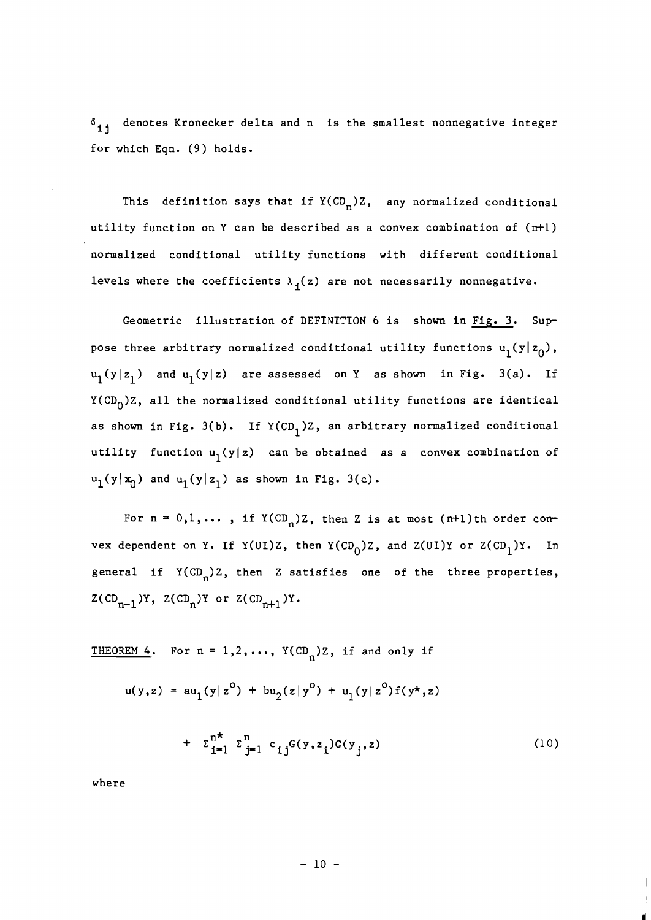**6**  <sup>i</sup>**j** denotes Kronecker delta and n is the smallest nonnegative integer for which Eqn. (9) holds.

This definition says that if  $Y(CD_n)Z$ , any normalized conditional utility function on Y can be described as a convex combination of (n+l) normalized conditional utility functions with different conditional levels where the coefficients  $\lambda_i(z)$  are not necessarily nonnegative.

Geometric illustration of DEFINITION 6 is shown in Fig. 3. Suppose three arbitrary normalized conditional utility functions  $u_1(y|z_0)$ ,  $u_1(y|z_1)$  and  $u_1(y|z)$  are assessed on Y as shown in Fig. 3(a). If  $Y(CD_0)Z$ , all the normalized conditional utility functions are identical as shown in Fig. 3(b). If  $Y(CD_1)Z$ , an arbitrary normalized conditional utility function  $u_1(y|z)$  can be obtained as a convex combination of  $u_1(y|x_0)$  and  $u_1(y|z_1)$  as shown in Fig. 3(c).

For  $n = 0, 1, \ldots$ , if  $Y(CD_n)Z$ , then Z is at most (n+1)th order convex dependent on Y. If Y(UI)Z, then Y(CD<sub>0</sub>)Z, and Z(UI)Y or Z(CD<sub>1</sub>)Y. In general if  $Y(CD_n)Z$ , then Z satisfies one of the three properties,  $Z(CD_{n-1})Y$ ,  $Z(CD_n)Y$  or  $Z(CD_{n+1})Y$ .

THEOREM 4. For  $n = 1, 2, ..., Y(CD_n)Z$ , if and only if

$$
u(y, z) = au_1(y|z^0) + bu_2(z|y^0) + u_1(y|z^0) f(y^*, z)
$$

$$
+ \sum_{i=1}^{n^*} \sum_{j=1}^n c_{ij} G(y, z_j) G(y_j, z) \tag{10}
$$

where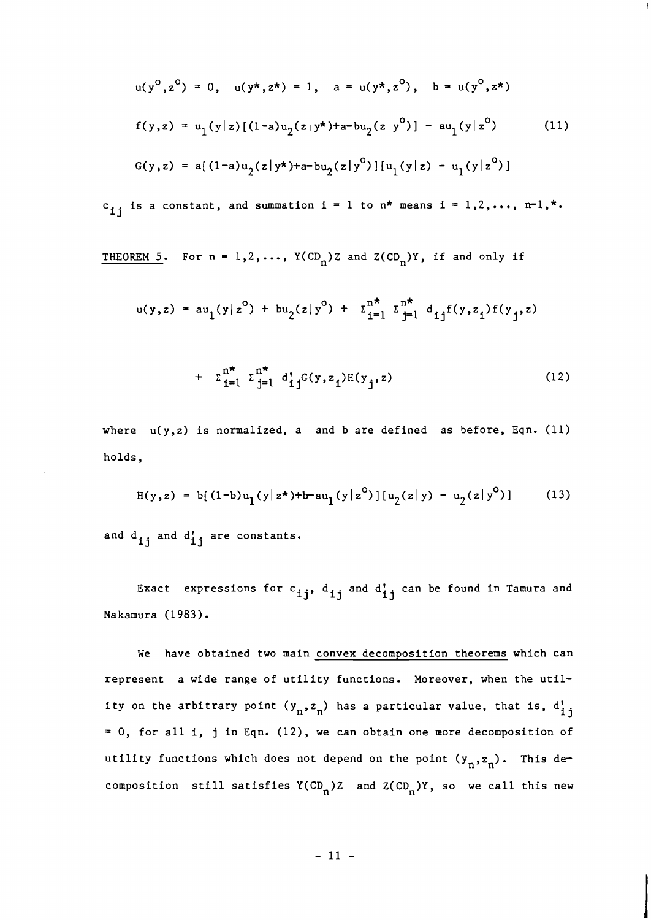$$
u(y^{0}, z^{0}) = 0, \quad u(y^{*}, z^{*}) = 1, \quad a = u(y^{*}, z^{0}), \quad b = u(y^{0}, z^{*})
$$
  
\n
$$
f(y, z) = u_{1}(y|z)[(1-a)u_{2}(z|y^{*})+a-bu_{2}(z|y^{0})] - au_{1}(y|z^{0}) \qquad (11)
$$
  
\n
$$
G(y, z) = a[(1-a)u_{2}(z|y^{*})+a-bu_{2}(z|y^{0})][u_{1}(y|z) - u_{1}(y|z^{0})]
$$

 $c_{i,j}$  is a constant, and summation i = 1 to n\* means i = 1,2,..., n-1,\*.

THEOREM 5. For  $n = 1, 2, ..., Y(CD_n)Z$  and  $Z(CD_n)Y$ , if and only if

$$
u(y,z) = au_1(y|z^0) + bu_2(z|y^0) + \sum_{i=1}^{n^*} \sum_{j=1}^{n^*} d_{ij}f(y,z_i)f(y_j,z)
$$

+ 
$$
\sum_{i=1}^{n^*} \sum_{j=1}^{n^*} d_{ij}^c(y, z_j) H(y_j, z)
$$
 (12)

where  $u(y, z)$  is normalized, a and b are defined as before, Eqn. (11) holds,

$$
H(y, z) = b[(1-b)u_1(y|z^*)+b-au_1(y|z^0)][u_2(z|y) - u_2(z|y^0)]
$$
 (13)

and d<sub>ij</sub> and d<sub>ij</sub> are constants.

Exact expressions for  $c_{\textbf{ij}}^{\phantom{\dag}}, \, \, d_{\textbf{ij}}^{\phantom{\dag}}$  and  $d_{\textbf{ij}}^{\phantom{\dag}}$  can be found in Tamura and Nakamura (1983).

We have obtained two main convex decomposition theorems which can represent a wide range of utility functions. Moreover, when the utility on the arbitrary point  $(y_n, z_n)$  has a particular value, that is,  $d'_{1j}$ = 0, for all i, j in Eqn. (12), we can obtain one more decomposition of utility functions which does not depend on the point  $(y_n, z_n)$ . This decomposition still satisfies  $Y(CD_n)Z$  and  $Z(CD_n)Y$ , so we call this new

 $-11 -$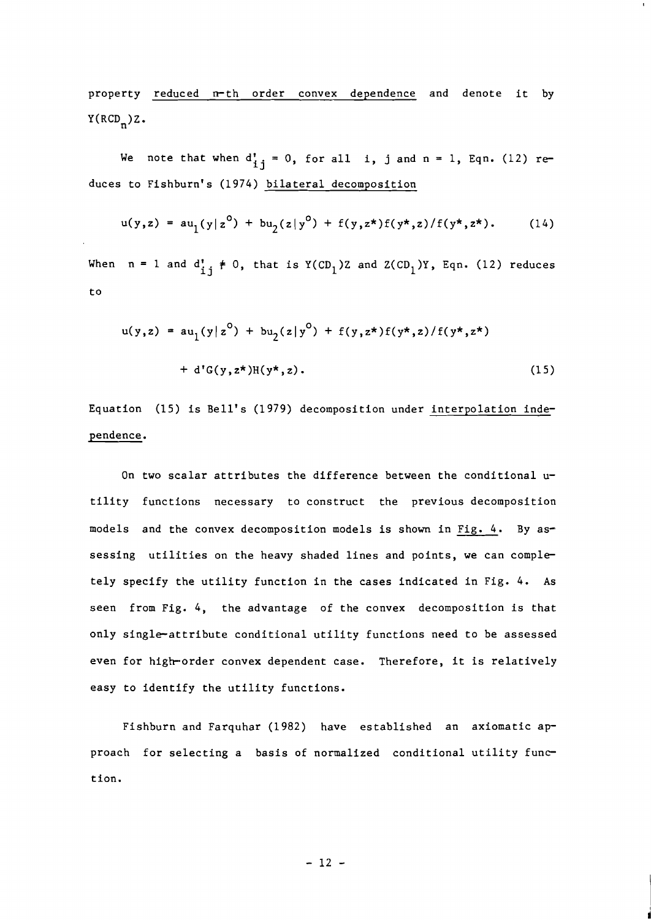property reduced n-th order convex dependence and denote it by  $Y(RCD_n)Z.$ 

We note that when  $d_{ij}^{\prime} = 0$ , for all i, j and n = 1, Eqn. (12) reduces to Fishburn's (1974) bilateral decomposition

$$
u(y,z) = au_1(y|z^0) + bu_2(z|y^0) + f(y,z^*)f(y^*,z)/f(y^*,z^*).
$$
 (14)

When  $n = 1$  and  $d_{i,j}^* \neq 0$ , that is  $Y(CD_1)Z$  and  $Z(CD_1)Y$ , Eqn. (12) reduces to

$$
u(y, z) = au_1(y|z^0) + bu_2(z|y^0) + f(y, z^*)f(y^*, z)/f(y^*, z^*)
$$
  
+ d<sup>'</sup>G(y, z^\*)H(y^\*, z). (15)

Equation (15) is Bell's (1979) decomposition under interpolation independence.

On two scalar attributes the difference between the conditional  $u$ tility functions necessary to construct the previous decomposition models and the convex decomposition models is shown in Fig. 4. By assessing utilities on the heavy shaded lines and points, we can completely specify the utility function in the cases indicated in Fig. *4.* As seen from Fig. 4, the advantage of the convex decomposition is that only single-attribute conditional utility functions need to be assessed even for high-order convex dependent case. Therefore, it is relatively easy to identify the utility functions.

Fishburn and Farquhar (1982) have established an axiomatic approach for selecting a basis of normalized conditional utility function.

 $-12 -$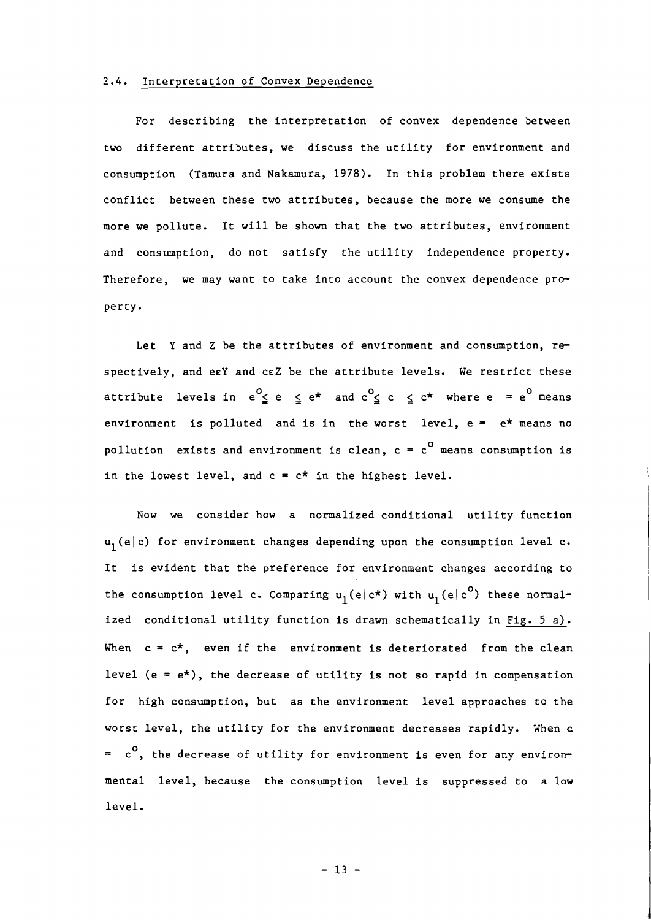## 2.4. Interpretation of Convex Dependence

For describing the interpretation of convex dependence between two different attributes, we discuss the utility for environment and consumption (Tamura and Nakamura, 1978). In this problem there exists conflict between these two attributes, because the more we consume the more we pollute. It will be shown that the two attributes, environment and consumption, do not satisfy the utility independence property. Therefore, we may want to take into account the convex dependence  $\mathsf{pro}$ perty.

Let Y and Z be the attributes of environment and consumption, respectively, and eeY and CEZ be the attribute levels. We restrict these attribute levels in  $e^0 \le e \le e^*$  and  $c^0 \le c \le c^*$  where  $e = e^0$  means environment is polluted and is in the worst level,  $e = e^*$  means no pollution exists and environment is clean,  $c = c^0$  means consumption is in the lowest level, and  $c = c^*$  in the highest level.

Now we consider how a normalized conditional utility function  $u_1(e|c)$  for environment changes depending upon the consumption level c. It is evident that the preference for environment changes according to the consumption level c. Comparing  $u_1(e|c^*)$  with  $u_1(e|c^0)$  these normalized conditional utility function is drawn schematically in Fig.  $5$  a). When  $c = c^*$ , even if the environment is deteriorated from the clean level  $(e = e^*)$ , the decrease of utility is not so rapid in compensation for high consumption, but as the environment level approaches to the worst level, the utility for the environment decreases rapidly. When c  $= c<sup>0</sup>$ , the decrease of utility for environment is even for any environmental level, because the consumption level is suppressed to a low level.

 $-13 -$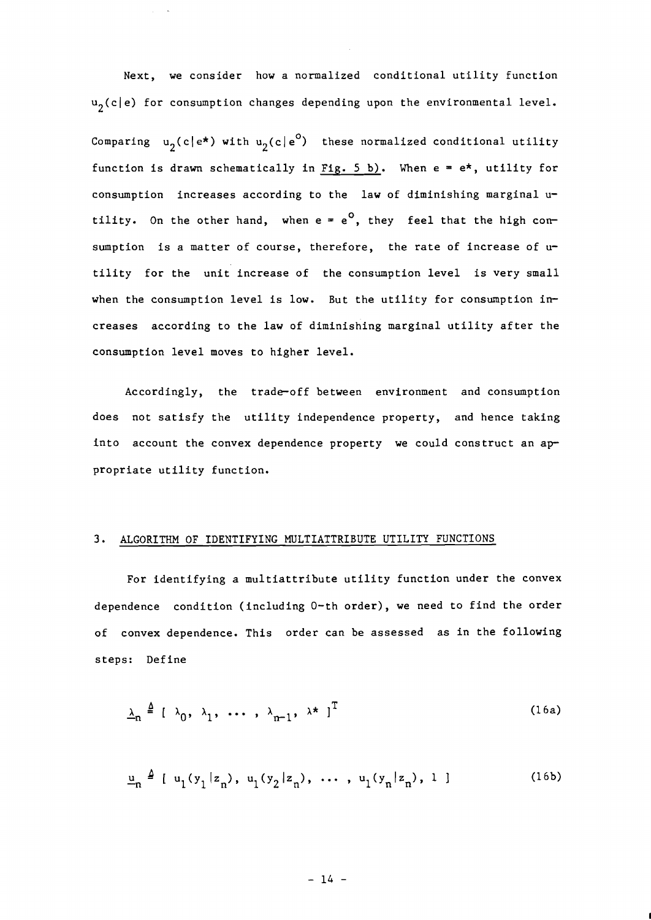Next, we consider how a normalized conditional utility function  $u_2(c|e)$  for consumption changes depending upon the environmental level. Comparing  $u_2(c|e^*)$  with  $u_2(c|e^0)$  these normalized conditional utility function is drawn schematically in Fig. 5 b). When  $e = e^*$ , utility for consumption increases according to the law of diminishing marginal utility. On the other hand, when  $e = e^0$ , they feel that the high consumption is a matter of course, therefore, the rate of increase of utility for the unit increase of the consumption level is very small when the consumption level is low. But the utility for consumption increases according to the law of diminishing marginal utility after the consumption level moves to higher level.

Accordingly, the trade-off between environment and consumption does not satisfy the utility independence property, and hence taking into account the convex dependence property we could construct an appropriate utility function.

#### **3.** ALGORITHM OF IDENTIFYING MULTIATTRIBUTE UTILITY FUNCTIONS

For identifying a multiattribute utility function under the convex dependence condition (including 0-th order), we need to find the order of convex dependence. This order can be assessed as in the following steps: Define

$$
\underline{\lambda}_n \triangleq [\lambda_0, \lambda_1, \dots, \lambda_{n-1}, \lambda^*]^T
$$
 (16a)

$$
\underline{u}_n \triangleq [u_1(y_1|z_n), u_1(y_2|z_n), \dots, u_1(y_n|z_n), 1]
$$
 (16b)

$$
-14 -
$$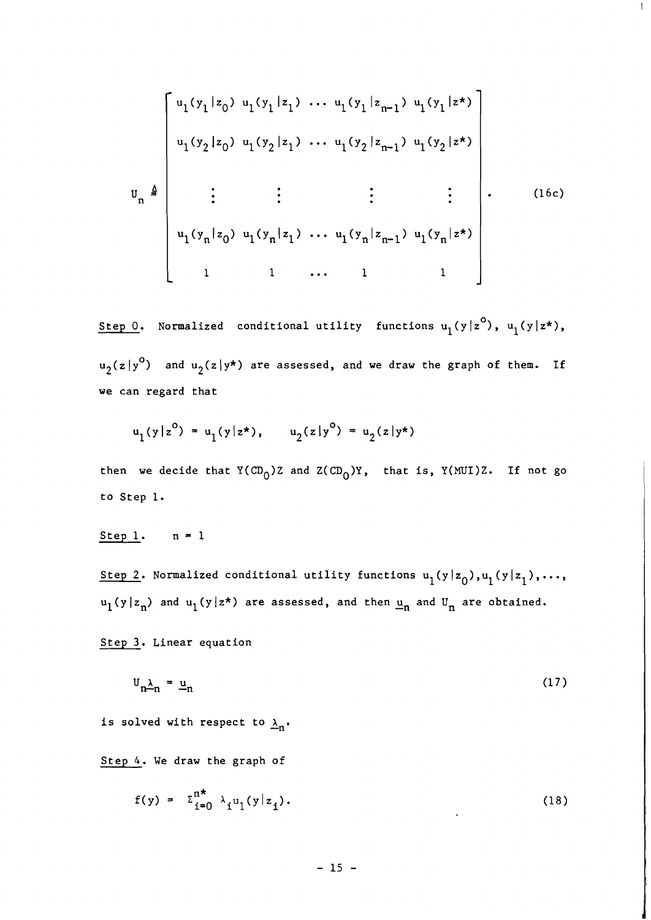$$
U_{n} \triangleq \begin{bmatrix}\nu_{1}(y_{1}|z_{0}) & \nu_{1}(y_{1}|z_{1}) & \cdots & \nu_{1}(y_{1}|z_{n-1}) & \nu_{1}(y_{1}|z^{\star}) \\
\vdots & \vdots & \ddots & \vdots \\
\vdots & \vdots & \vdots & \ddots & \vdots \\
\vdots & \vdots & \vdots & \ddots & \vdots \\
\vdots & \vdots & \vdots & \ddots & \vdots \\
\vdots & \vdots & \vdots & \ddots & \vdots \\
\vdots & \vdots & \vdots & \ddots & \vdots \\
\vdots & \vdots & \vdots & \ddots & \vdots \\
\vdots & \vdots & \vdots & \ddots & \vdots \\
\vdots & \vdots & \vdots & \vdots & \vdots \\
\vdots & \vdots & \vdots & \vdots & \vdots \\
\vdots & \vdots & \vdots & \vdots & \vdots \\
\vdots & \vdots & \vdots & \vdots & \vdots \\
\vdots & \vdots & \vdots & \vdots & \vdots \\
\vdots & \vdots & \vdots & \vdots & \vdots \\
\vdots & \vdots & \vdots & \vdots & \vdots \\
\vdots & \vdots & \vdots & \vdots & \vdots \\
\vdots & \vdots & \vdots & \vdots & \vdots \\
\vdots & \vdots & \vdots & \vdots & \vdots \\
\vdots & \vdots & \vdots & \vdots & \vdots \\
\vdots & \vdots & \vdots & \vdots & \vdots \\
\vdots & \vdots & \vdots & \vdots & \vdots \\
\vdots & \vdots & \vdots & \vdots & \vdots \\
\vdots & \vdots & \vdots & \vdots & \vdots \\
\vdots & \vdots & \vdots & \vdots & \vdots \\
\vdots & \vdots & \vdots & \vdots & \vdots \\
\vdots & \vdots & \vdots & \vdots & \vdots \\
\vdots & \vdots & \vdots & \vdots & \vdots \\
\vdots & \vdots & \vdots & \vdots & \vdots \\
\vdots & \vdots & \vdots & \vdots & \vdots \\
\vdots & \vdots & \vdots & \vdots & \vdots \\
\vdots & \vdots & \vdots & \vdots & \vdots \\
\vdots & \vdots & \vdots & \vdots & \vdots \\
\vdots & \vdots & \vdots & \vdots & \vdots \\
\vdots & \vdots & \vdots & \vdots & \vdots \\
\vdots & \vdots &
$$

 $\mathbf{L}$ 

itep 0. Normalized conditional utility functions  $u_1(y|z^0)$ ,  $u_1(y|z^{\star})$ ,  $u_2(z|y^0)$  and  $u_2(z|y^*)$  are assessed, and we draw the graph of them. If we can regard that

$$
u_1(y|z^0) = u_1(y|z^*), \qquad u_2(z|y^0) = u_2(z|y^*)
$$

then we decide that  $Y(CD_0)Z$  and  $Z(CD_0)Y$ , that is,  $Y(MUI)Z$ . If not go to Step 1.

Step 1.  $n = 1$ 

Step 2. Normalized conditional utility functions  $u_1(y|z_0), u_1(y|z_1),...,$  $u_1(y|z_n)$  and  $u_1(y|z^*)$  are assessed, and then  $\underline{u}_n$  and  $U_n$  are obtained.

Step **3.** Linear equation

$$
\mathbf{U}_{\mathbf{n}\rightarrow\mathbf{n}} = \underline{\mathbf{u}}_{\mathbf{n}} \tag{17}
$$

is solved with respect to  $\lambda_n$ .

Step 4. We draw the graph of

$$
f(y) = \sum_{i=0}^{n^*} \lambda_i u_i(y|z_i). \tag{18}
$$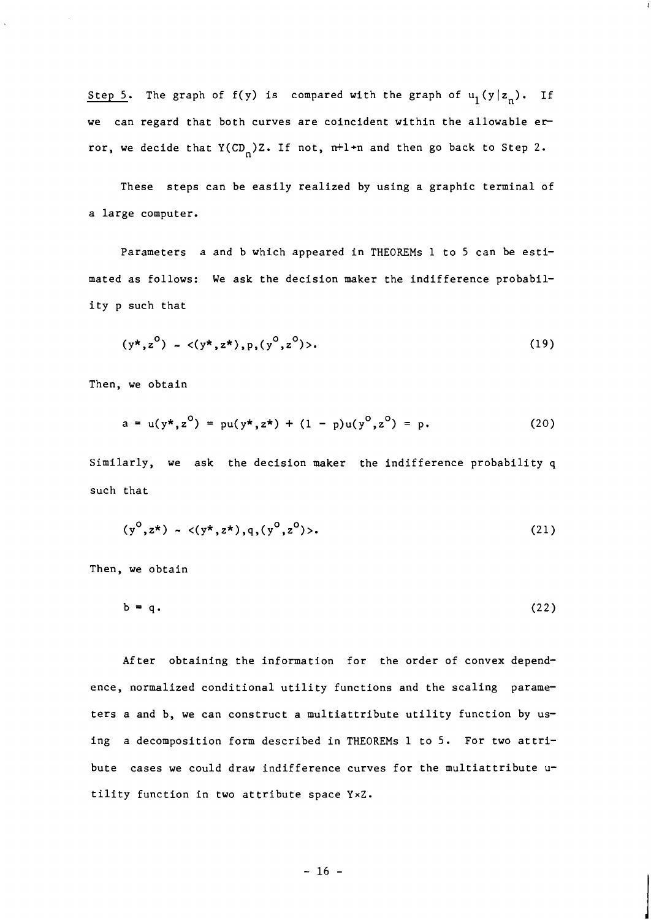Step 5. The graph of f(y) is compared with the graph of  $u_1(y|z_n)$ . If we can regard that both curves are coincident within the allowable error, we decide that  $Y(CD_n)Z$ . If not, n+1+n and then go back to Step 2.

These steps can be easily realized by using a graphic terminal of a large computer.

Parameters a and b which appeared in THEOREMs 1 to 5 can be estimated as follows: We ask the decision maker the indifference probability p such that

$$
(y^*, z^0) \sim \langle (y^*, z^*), p, (y^0, z^0) \rangle.
$$
 (19)

Then, we obtain

$$
a = u(y^*, z^0) = pu(y^*, z^*) + (1 - p)u(y^0, z^0) = p.
$$
 (20)

Similarly, we ask the decision maker the indifference probability q such that

$$
(y^0, z^*) \sim \langle (y^*, z^*), q, (y^0, z^0) \rangle. \tag{21}
$$

Then, we obtain

$$
b = q. \tag{22}
$$

After obtaining the information for the order of convex dependence, normalized conditional utility functions and the scaling parameters a and b, we can construct a multiattribute utility function by using a decomposition form described in THEOREMS 1 to 5. For two attribute cases we could draw indifference curves for the multiattribute utility function in two attribute space YxZ.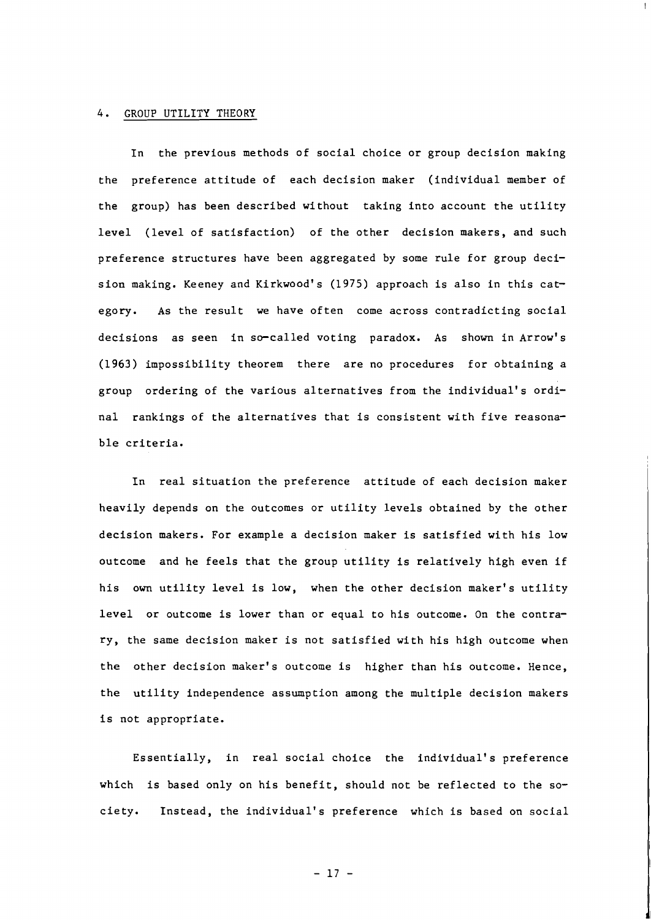#### 4. GROUP UTILITY THEORY

In the previous methods of social choice or group decision making the preference attitude of each decision maker (individual member of the group) has been described without taking into account the utility level (level of satisfaction) of the other decision makers, and such preference structures have been aggregated by some rule for group decision making. Keeney and Kirkwood's (1975) approach is also in this category. As the result we have often come across contradicting social decisions as seen in so-called voting paradox. As shown in Arrow's (1963) impossibility theorem there are no procedures for obtaining a group ordering of the various alternatives from the individual's ordinal rankings of the alternatives that is consistent with five reasonable criteria.

In real situation the preference attitude of each decision maker heavily depends on the outcomes or utility levels obtained by the other decision makers. For example a decision maker is satisfied with his low outcome and he feels that the group utility is relatively high even if his own utility level is low, when the other decision maker's utility level or outcome is lower than or equal to his outcome. On the contrary, the same decision maker is not satisfied with his high outcome when the other decision maker's outcome is higher than his outcome. Hence, the utility independence assumption among the multiple decision makers is not appropriate.

Essentially, in real social choice the individual's preference which is based only on his benefit, should not be reflected to the society. Instead, the individual's preference which is based on social

 $-17 -$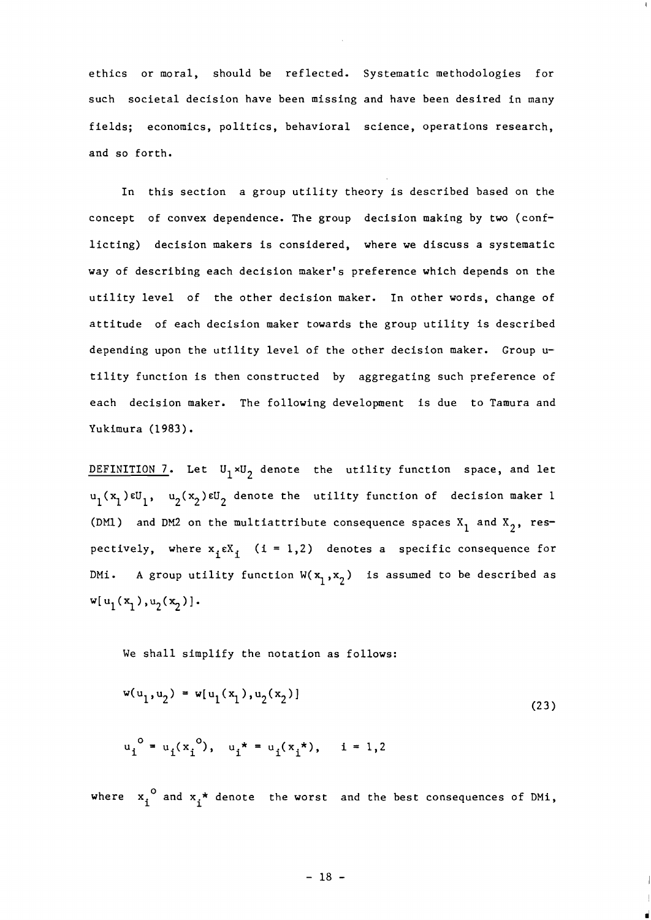ethics or moral, should be reflected. Systematic methodologies for such societal decision have been missing and have been desired in many fields; economics, politics, behavioral science, operations research, and so forth.

In this section a group utility theory is described based on the concept of convex dependence. The group decision making by two (conflicting) decision makers is considered, where we discuss a systematic way of describing each decision maker's preference which depends on the utility level of the other decision maker. In other words, change of attitude of each decision maker towards the group utility is described depending upon the utility level of the other decision maker. Group utility function is then constructed by aggregating such preference of each decision maker. The following development is due to Tamura and Yukimura (1983).

DEFINITION 7. Let  $U_1 \times U_2$  denote the utility function space, and let  $u_1(x_1) \in U_1$ ,  $u_2(x_2) \in U_2$  denote the utility function of decision maker 1 (DM1) and DM2 on the multiattribute consequence spaces  $X_1$  and  $X_2$ , respectively, where  $x_1 \in X_1$  (i = 1,2) denotes a specific consequence for DMi. A group utility function  $W(x_1, x_2)$  is assumed to be described as  $w[u_1(x_1), u_2(x_2)].$ 

We shall simplify the notation as follows:

$$
w(u_1, u_2) = w[u_1(x_1), u_2(x_2)]
$$
\n
$$
u_i^o = u_i(x_i^o), \quad u_i^* = u_i(x_i^*), \quad i = 1, 2
$$
\n(23)

where  $x_i^0$  and  $x_i^*$  denote the worst and the best consequences of DMi,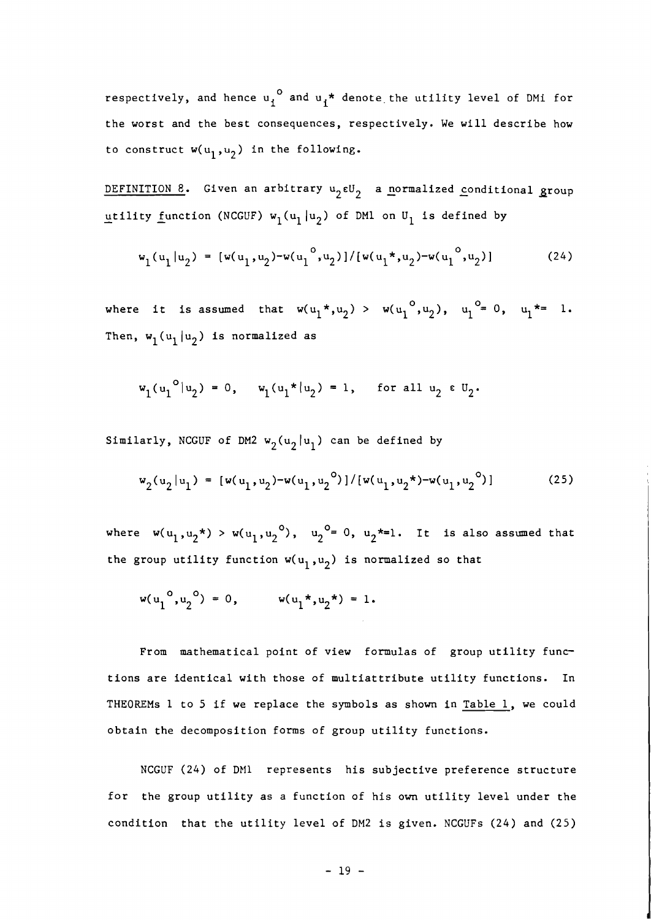respectively, and hence  $u_i^o$  and  $u_i^*$  denote the utility level of DMi for the worst and the best consequences, respectively. We will describe how to construct  $w(u_1, u_2)$  in the following.

DEFINITION 8. Given an arbitrary  $u_2 \in U_2$  a normalized conditional group utility function (NCGUF)  $w_1(u_1|u_2)$  of DM1 on  $U_1$  is defined by

$$
w_1(u_1|u_2) = [w(u_1, u_2) - w(u_1^o, u_2)] / [w(u_1^*, u_2) - w(u_1^o, u_2)] \qquad (24)
$$

where it is assumed that  $w(u_1^*, u_2) > w(u_1^0, u_2)$ ,  $u_1^0 = 0$ ,  $u_1^* = 1$ . Then,  $w_1(u_1|u_2)$  is normalized as

$$
w_1(u_1^{o}|u_2) = 0
$$
,  $w_1(u_1 * |u_2) = 1$ , for all  $u_2 \in U_2$ .

Similarly, NCGUF of DM2  $w_2(u_2|u_1)$  can be defined by

$$
w_2(u_2|u_1) = [w(u_1, u_2) - w(u_1, u_2^{o})]/[w(u_1, u_2^{\star}) - w(u_1, u_2^{o})]
$$
 (25)

where  $w(u_1, u_2^*)$  >  $w(u_1, u_2^0)$ ,  $u_2^0 = 0$ ,  $u_2^* = 1$ . It is also assumed that the group utility function  $w(u_1, u_2)$  is normalized so that

$$
w(u_1^0, u_2^0) = 0
$$
,  $w(u_1^*, u_2^*) = 1$ .

From mathematical point of view formulas of group utility functions are identical with those of multiattribute utility functions. In THEOREMS 1 to 5 if we replace the symbols as shown in Table 1, we could obtain the decomposition forms of group utility functions.

NCGUF (24) of DM1 represents his subjective preference structure for the group utility as a function of his own utility level under the condition that the utility level of DM2 is given. NCGUFs (24) and (25)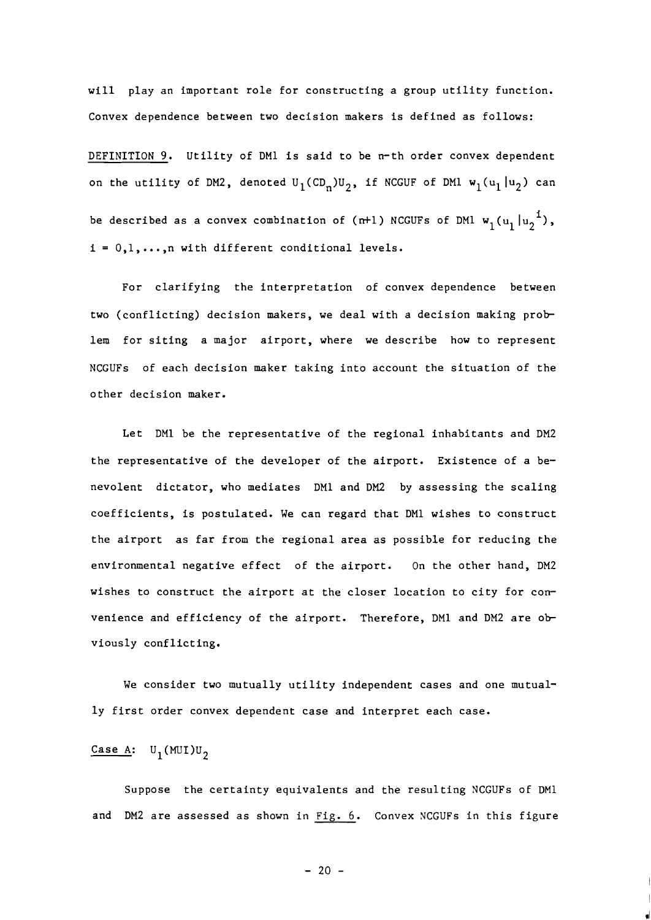will play an important role for constructing a group utility function. Convex dependence between two decision makers is defined as follows:

DEFINITION 9. Utility of DM1 is said to be n-th order convex dependent on the utility of DM2, denoted  $U_1(CD_n)U_2$ , if NCGUF of DM1  $w_1(u_1 | u_2)$  can be described as a convex combination of (n+1) NCGUFs of DM1  $w_1$  (u<sub>1</sub> |u<sub>2</sub><sup>1</sup>),  $i = 0, 1, ..., n$  with different conditional levels.

For clarifying the interpretation of convex dependence between two (conflicting) decision makers, we deal with a decision making prob lem for siting a major airport, where we describe how to represent NCGUFs of each decision maker taking into account the situation of the other decision maker.

Let DM1 be the representative of the regional inhabitants and DM2 the representative of the developer of the airport. Existence of a benevolent dictator, who mediates DM1 and DM2 by assessing the scaling coefficients, is postulated. We can regard that DM1 wishes to construct the airport as far from the regional area as possible for reducing the environmental negative effect of the airport. On the other hand, DM2 wishes to construct the airport at the closer location to city for convenience and efficiency of the airport. Therefore, DM1 and DM2 are ob viously conflicting.

We consider two mutually utility independent cases and one mutually first order convex dependent case and interpret each case.

## $\frac{\text{Case A:}}{\text{U}_1(\text{MUI})\text{U}_2}$

Suppose the certainty equivalents and the resulting NCGUFs of DM1 and DM2 are assessed as shown in Fig. *6.* Convex NCGUFs in this figure

 $-20 -$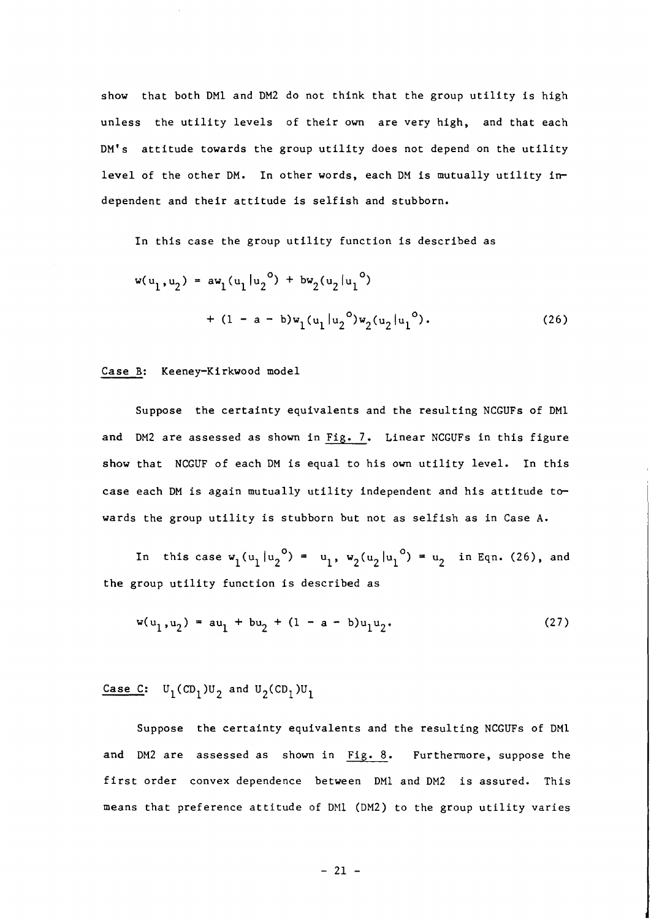show that both DM1 and DM2 do not think that the group utility is high unless the utility levels of their own are very high, and that each DM's attitude towards the group utility does not depend on the utility level of the other DM. In other words, each DM is mutually utility independent and their attitude is selfish and stubborn.

In this case the group utility function is described as

$$
w(u_1, u_2) = aw_1(u_1 | u_2^{\circ}) + bw_2(u_2 | u_1^{\circ})
$$
  
+ (1 - a - b)w\_1(u\_1 | u\_2^{\circ})w\_2(u\_2 | u\_1^{\circ}). (26)

#### Case B: Keeney-Kirkwood model

Suppose the certainty equivalents and the resulting NCGUFs of DM1 and DM2 are assessed as shown in Fig. **7.** Linear NCGUFs in this figure show that NCGUF of each DM is equal to his own utility level. In this case each DM is again mutually utility independent and his attitude towards the group utility is stubborn but not as selfish as in Case **A.** 

In this case  $w_1(u_1 | u_2^{\circ}) = u_1$ ,  $w_2(u_2 | u_1^{\circ}) = u_2$  in Eqn. (26), and the group utility function is described as

$$
w(u_1, u_2) = au_1 + bu_2 + (1 - a - b)u_1u_2.
$$
 (27)

Case C:  $U_1$ (CD<sub>1</sub>)U<sub>2</sub> and U<sub>2</sub>(CD<sub>1</sub>)U<sub>1</sub>

Suppose the certainty equivalents and the resulting NCGUFs of DM1 and DM2 are assessed as shown in Fig. 8. Furthermore, suppose the first order convex dependence between DM1 and DM2 is assured. This means that preference attitude of DM1 (DM2) to the group utility varies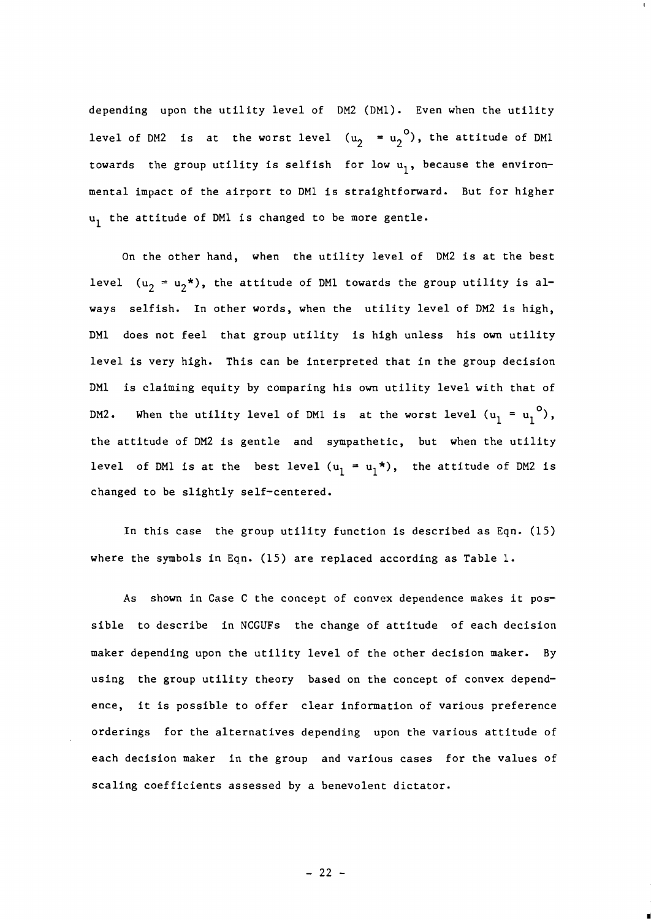depending upon the utility level of DM2 (DMl). Even when the utility level of DM2 is at the worst level  $(u_2 = u_2^0)$ , the attitude of DM1 towards the group utility is selfish for low  $u_1$ , because the environmental impact of the airport to DM1 is straightforward. But for higher  $u_1$  the attitude of DM1 is changed to be more gentle.

On the other hand, when the utility level of DM2 is at the best level  $(u_2 = u_2^*)$ , the attitude of DM1 towards the group utility is always selfish. In other words, when the utility level of DM2 is high, DM1 does not feel that group utility is high unless his own utility level is very high. This can be interpreted that in the group decision DM1 is claiming equity by comparing his own utility level with that of DM2. When the utility level of DM1 is at the worst level  $(u_1 = u_1^0)$ , the attitude of DM2 is gentle and sympathetic, but when the utility level of DM1 is at the best level  $(u_1 = u_1^*)$ , the attitude of DM2 is changed to be slightly self-centered.

In this case the group utility function is described as Eqn. (15) where the symbols in Eqn. (15) are replaced according as Table 1.

As shown in Case C the concept of convex dependence makes it possible to describe in NCGUFs the change of attitude of each decision maker depending upon the utility level of the other decision maker. By using the group utility theory based on the concept of convex dependence, it is possible to offer clear information of various preference orderings for the alternatives depending upon the various attitude of each decision maker in the group and various cases for the values of scaling coefficients assessed by a benevolent dictator.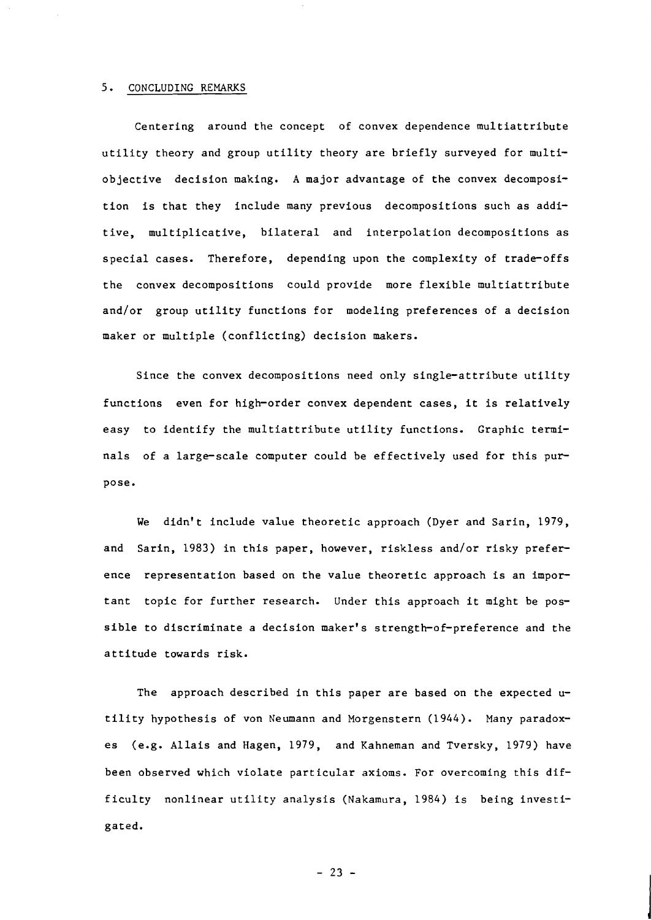## **5.** CONCLUDING REMARKS

Centering around the concept of convex dependence multiattribute utility theory and group utility theory are briefly surveyed for multiobjective decision making. A major advantage of the convex decomposition is that they include many previous decompositions such as additive, multiplicative, bilateral and interpolation decompositions as special cases. Therefore, depending upon the complexity of trade-offs the convex decompositions could provide more flexible multiattribute and/or group utility functions for modeling preferences of a decision maker or multiple (conflicting) decision makers.

Since the convex decompositions need only single-attribute utility functions even for high-order convex dependent cases, it is relatively easy to identify the multiattribute utility functions. Graphic terminals of a large-scale computer could be effectively used for this pur pose.

We didn't include value theoretic approach (Dyer and Sarin, 1979, and Sarin, 1983) in this paper, however, riskless and/or risky prefer ence representation based on the value theoretic approach is an impor tant topic for further research. Under this approach it might be possible to discriminate a decision maker's strength-of-preference and the attitude towards risk.

The approach described in this paper are based on the expected  $u$ tility hypothesis of von Neumann and Morgenstern (1944). Many paradoxes (e.g. Allais and Hagen, 1979, and Kahneman and Tversky, 1979) have been observed which violate particular axioms. For overcoming this difficulty nonlinear utility analysis (Nakamura, 1984) is being investigated.

 $-23 -$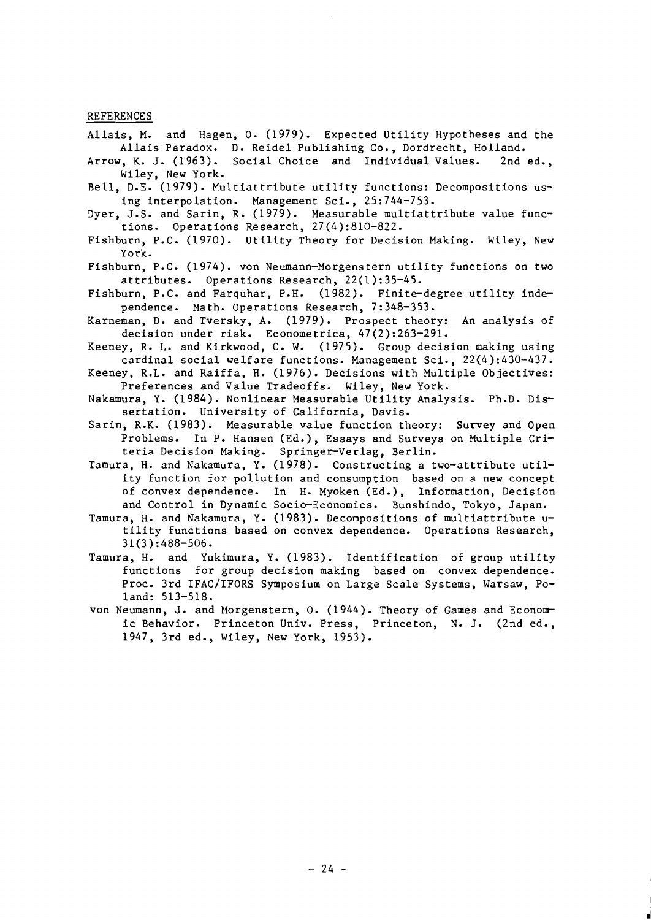- REFERENCES<br>Allais, M. and Hagen, O. (1979). Expected Utility Hypotheses and the Allais Paradox. D. Reidel Publishing Co., Dordrecht, Holland.
- Arrow, K. J. (1963). Social Choice and Individual Values. 2nd ed., Wiley, New York.
- Bell, D.E. (1979). Multiattribute utility functions: Decompositions using interpolation. Management Sci., 25:744-753.
- Dyer, J.S. and Sarin, R. (1979). Measurable multiattribute value functions. Operations Research, 27(4):810-822.
- Fishburn, P.C. (1970). Utility Theory for Decision Making. Wiley, New York.
- Fishburn, P.C. (1974). von Neumann-Morgenstern utility functions on two attributes. Operations Research, 22(1):35-45.
- Fishburn, P.C. and Farquhar, P.H. (1982). Finite-degree utility independence. Math. Operations Research, 7:348-353.
- Karneman, D. and Tversky, A. (1979). Prospect theory: An analysis of decision under risk. Econometrica, 47(2):263-291.
- Keeney, R. L. and Kirkwood, C. W. (1975). Group decision making using cardinal social welfare functions. Management Sci., 22(4):430-437.
- Keeney, R.L. and Raiffa, H. (1976). Decisions with Multiple Objectives: Preferences and Value Tradeoffs. Wiley, New York.
- Nakamura, Y. (1984). Nonlinear Measurable Utility Analysis. Ph.D. Dissertation. University of California, Davis.
- Sarin, R.K. (1983). Measurable value function theory: Survey and Open Problems. In P. Hansen (Ed.), Essays and Surveys on Multiple Criteria Decision Making. Springer-Verlag, Berlin.
- Tamura, H. and Nakamura, Y. (1978). Constructing a two-attribute utility function for pollution and consumption based on a new concept of convex dependence. In H. Myoken (Ed.), Information, Decision and Control in Dynamic Socio-Economics. Bunshindo, Tokyo, Japan.
- Tamura, H. and Nakamura, Y. (1983). Decompositions of multiattribute utility functions based on convex dependence. Operations Research,  $31(3)$ : 488-506.
- Tamura, H. and Yukimura, Y. (1983). Identification of group utility functions for group decision making based on convex dependence. Proc. 3rd IFAC/IFORS Symposium on Large Scale Systems, Warsaw, Poland: 513-518.
- von Neumann, J. and Morgenstern, O. (1944). Theory of Games and Economic Behavior. Princeton Univ. Press, Princeton, N. J. (2nd ed., 1947, 3rd ed., Wiley, New York, 1953).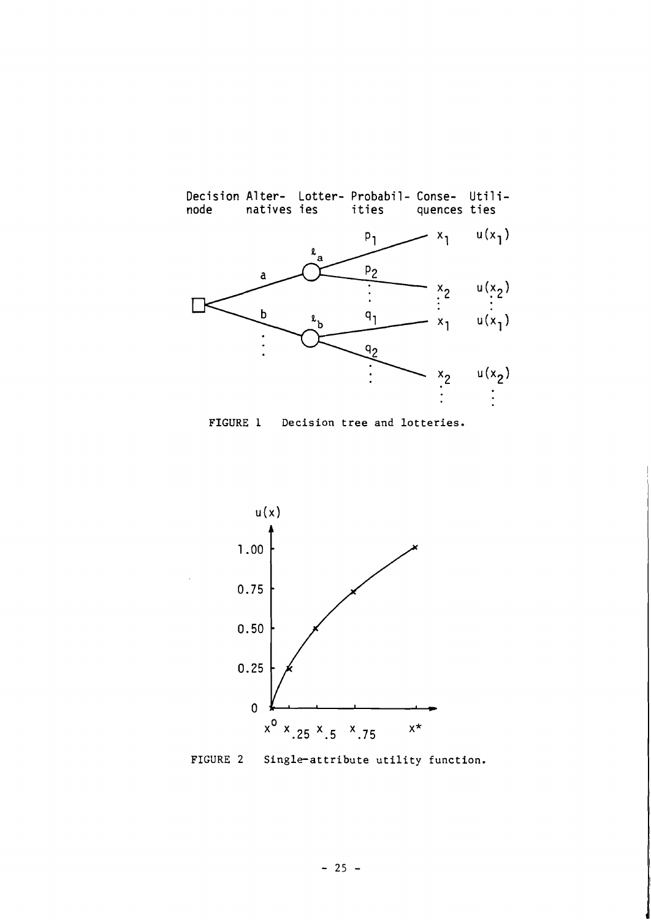

**FIGURE** 1 **Decision tree and lotteries.** 



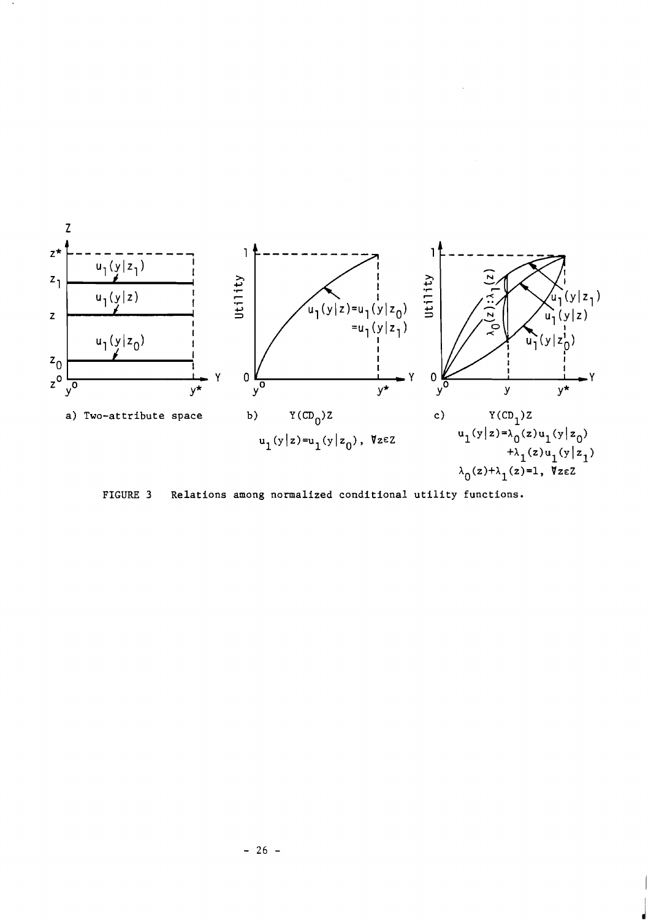

**FIGURE 3 Relations among normalized conditional utility functions.**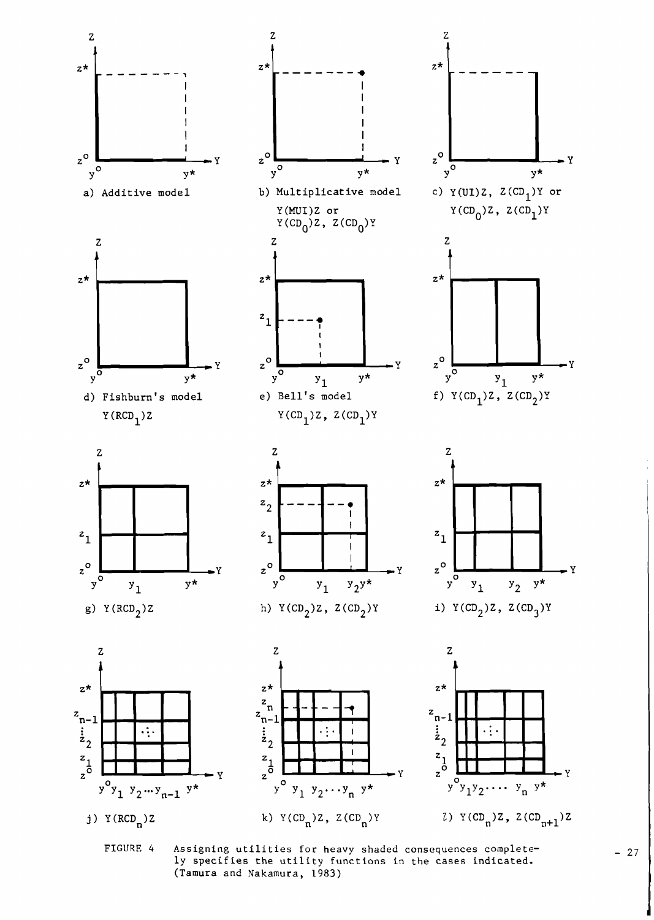

**FIGURE** *4* **Assigning utilities for heavy shaded consequences completely specifies the utility functions in the cases indicated. (Tamura and Nakamura, 1983)** 

 $-27$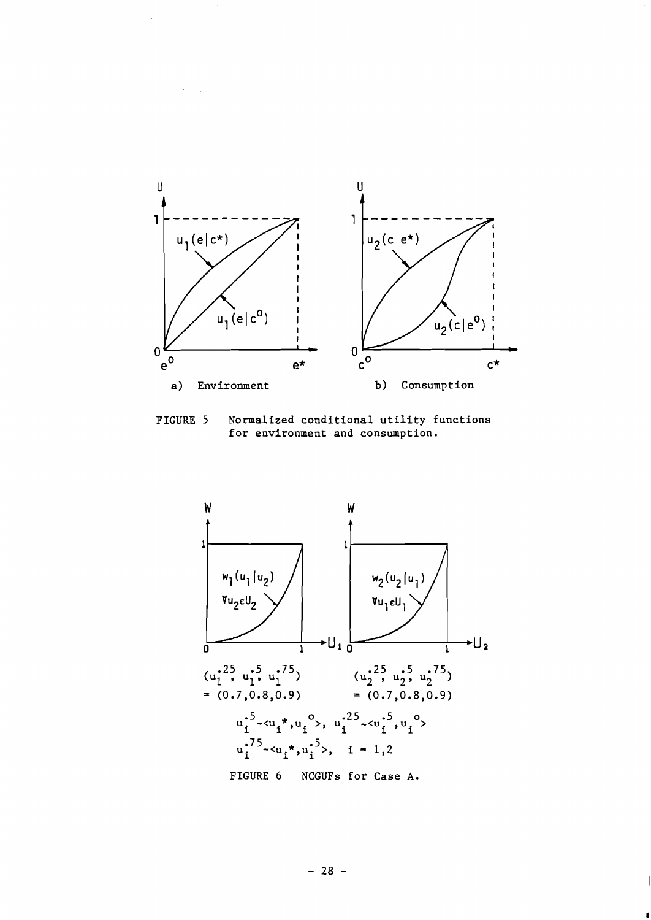

**FIGURE 5 Normalized conditional utility functions for environment and consumption.** 



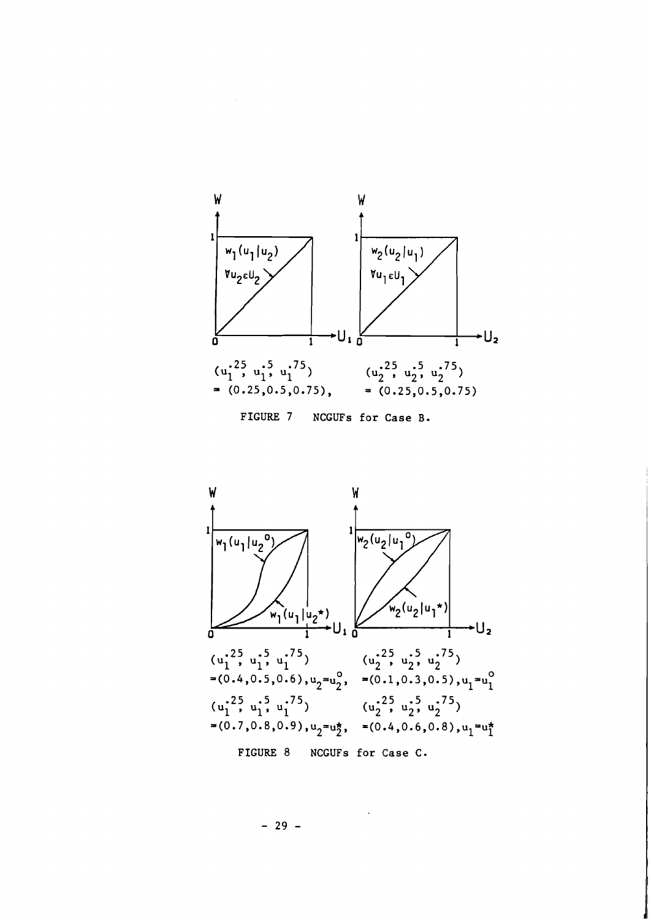

FIGURE **7** NCGUFs for Case B.



 $-29 -$